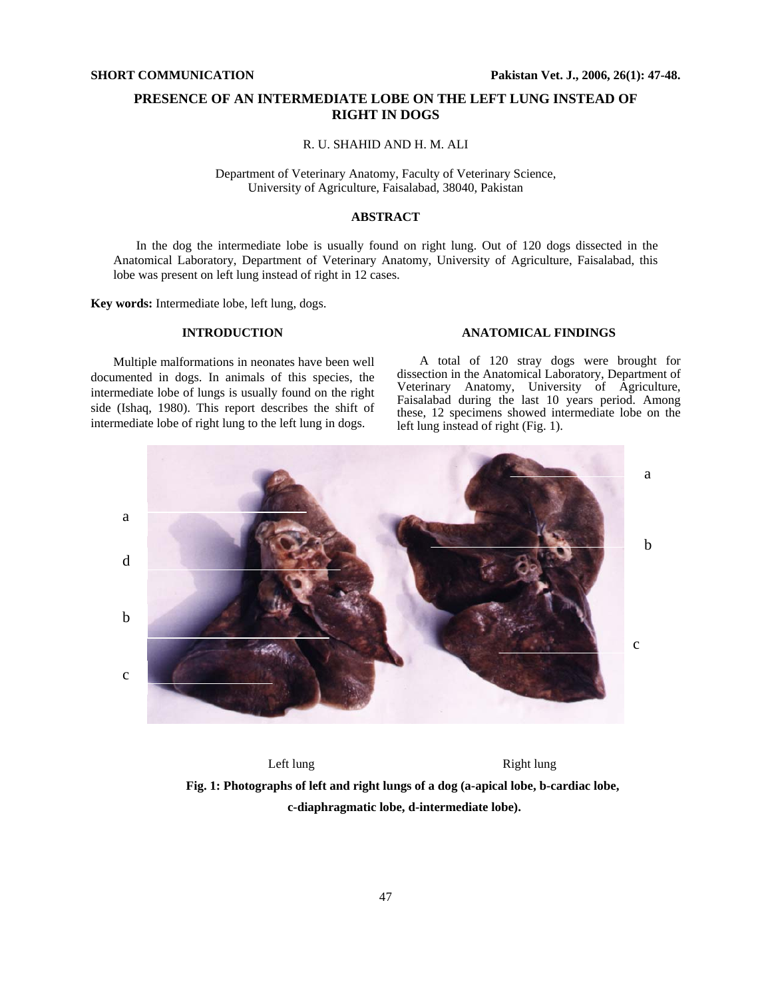# **PRESENCE OF AN INTERMEDIATE LOBE ON THE LEFT LUNG INSTEAD OF RIGHT IN DOGS**

R. U. SHAHID AND H. M. ALI

Department of Veterinary Anatomy, Faculty of Veterinary Science, University of Agriculture, Faisalabad, 38040, Pakistan

# **ABSTRACT**

In the dog the intermediate lobe is usually found on right lung. Out of 120 dogs dissected in the Anatomical Laboratory, Department of Veterinary Anatomy, University of Agriculture, Faisalabad, this lobe was present on left lung instead of right in 12 cases.

**Key words:** Intermediate lobe, left lung, dogs.

## **INTRODUCTION**

Multiple malformations in neonates have been well documented in dogs. In animals of this species, the intermediate lobe of lungs is usually found on the right side (Ishaq, 1980). This report describes the shift of intermediate lobe of right lung to the left lung in dogs.

### **ANATOMICAL FINDINGS**

A total of 120 stray dogs were brought for dissection in the Anatomical Laboratory, Department of Veterinary Anatomy, University of Agriculture, Faisalabad during the last 10 years period. Among these, 12 specimens showed intermediate lobe on the left lung instead of right (Fig. 1).



Left lung Right lung **Fig. 1: Photographs of left and right lungs of a dog (a-apical lobe, b-cardiac lobe, c-diaphragmatic lobe, d-intermediate lobe).**